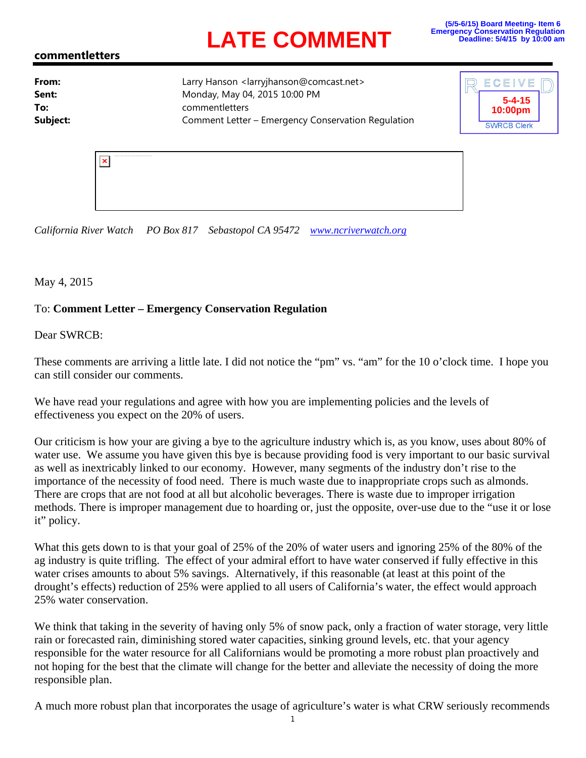## **LATE COMMENT**

## **commentletters**

**From:** Larry Hanson <larryjhanson@comcast.net> **Sent:** Monday, May 04, 2015 10:00 PM **To:** commentletters **Subject:** Comment Letter – Emergency Conservation Regulation



| holder and have been presented and considerable products and con- |  |
|-------------------------------------------------------------------|--|
|                                                                   |  |
|                                                                   |  |
|                                                                   |  |

*California River Watch PO Box 817 Sebastopol CA 95472 www.ncriverwatch.org*

May 4, 2015

## To: **Comment Letter – Emergency Conservation Regulation**

Dear SWRCB:

These comments are arriving a little late. I did not notice the "pm" vs. "am" for the 10 o'clock time. I hope you can still consider our comments.

We have read your regulations and agree with how you are implementing policies and the levels of effectiveness you expect on the 20% of users.

Our criticism is how your are giving a bye to the agriculture industry which is, as you know, uses about 80% of water use. We assume you have given this bye is because providing food is very important to our basic survival as well as inextricably linked to our economy. However, many segments of the industry don't rise to the importance of the necessity of food need. There is much waste due to inappropriate crops such as almonds. There are crops that are not food at all but alcoholic beverages. There is waste due to improper irrigation methods. There is improper management due to hoarding or, just the opposite, over-use due to the "use it or lose it" policy.

What this gets down to is that your goal of 25% of the 20% of water users and ignoring 25% of the 80% of the ag industry is quite trifling. The effect of your admiral effort to have water conserved if fully effective in this water crises amounts to about 5% savings. Alternatively, if this reasonable (at least at this point of the drought's effects) reduction of 25% were applied to all users of California's water, the effect would approach 25% water conservation.

We think that taking in the severity of having only 5% of snow pack, only a fraction of water storage, very little rain or forecasted rain, diminishing stored water capacities, sinking ground levels, etc. that your agency responsible for the water resource for all Californians would be promoting a more robust plan proactively and not hoping for the best that the climate will change for the better and alleviate the necessity of doing the more responsible plan.

A much more robust plan that incorporates the usage of agriculture's water is what CRW seriously recommends